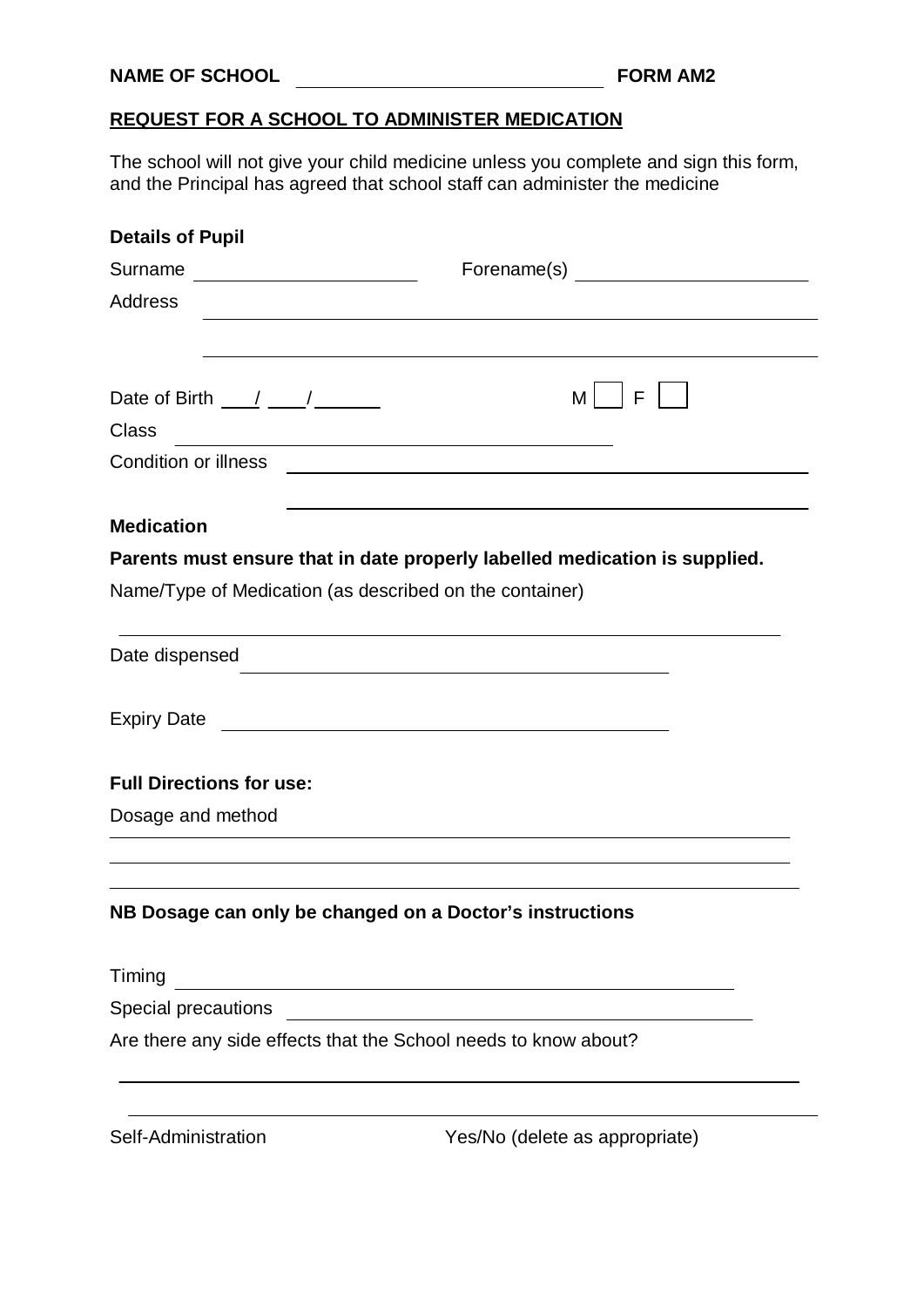## **REQUEST FOR A SCHOOL TO ADMINISTER MEDICATION**

The school will not give your child medicine unless you complete and sign this form, and the Principal has agreed that school staff can administer the medicine

| <b>Details of Pupil</b>                                                                                               |                                                                                                                       |
|-----------------------------------------------------------------------------------------------------------------------|-----------------------------------------------------------------------------------------------------------------------|
| Surname                                                                                                               |                                                                                                                       |
| <b>Address</b>                                                                                                        |                                                                                                                       |
|                                                                                                                       |                                                                                                                       |
|                                                                                                                       |                                                                                                                       |
| Date of Birth $\frac{1}{\sqrt{2}}$                                                                                    | M  <br>F                                                                                                              |
| <b>Class</b>                                                                                                          |                                                                                                                       |
| Condition or illness                                                                                                  | <u> 1989 - Andrea State Barbara, amerikan personal di sebagai personal di sebagai personal di sebagai personal di</u> |
|                                                                                                                       |                                                                                                                       |
| <b>Medication</b>                                                                                                     |                                                                                                                       |
|                                                                                                                       | Parents must ensure that in date properly labelled medication is supplied.                                            |
| Name/Type of Medication (as described on the container)                                                               |                                                                                                                       |
|                                                                                                                       |                                                                                                                       |
| Date dispensed                                                                                                        | <u> 1989 - Johann Barbara, markazi bashkar a shekara ta 1989 - André a shekara ta 1989 - André a shekara ta 198</u>   |
|                                                                                                                       |                                                                                                                       |
| Expiry Date <u>experience</u>                                                                                         |                                                                                                                       |
|                                                                                                                       |                                                                                                                       |
| <b>Full Directions for use:</b>                                                                                       |                                                                                                                       |
| Dosage and method                                                                                                     |                                                                                                                       |
|                                                                                                                       |                                                                                                                       |
| NB Dosage can only be changed on a Doctor's instructions                                                              |                                                                                                                       |
| Timing                                                                                                                |                                                                                                                       |
| <u> 1989 - Johann Barn, mars ann an t-Amhain Aonaichte ann an t-Aonaichte ann an t-Aonaichte ann an t-Aonaichte a</u> |                                                                                                                       |
| Are there any side effects that the School needs to know about?                                                       |                                                                                                                       |
|                                                                                                                       |                                                                                                                       |
|                                                                                                                       |                                                                                                                       |
|                                                                                                                       |                                                                                                                       |

Self-Administration Yes/No (delete as appropriate)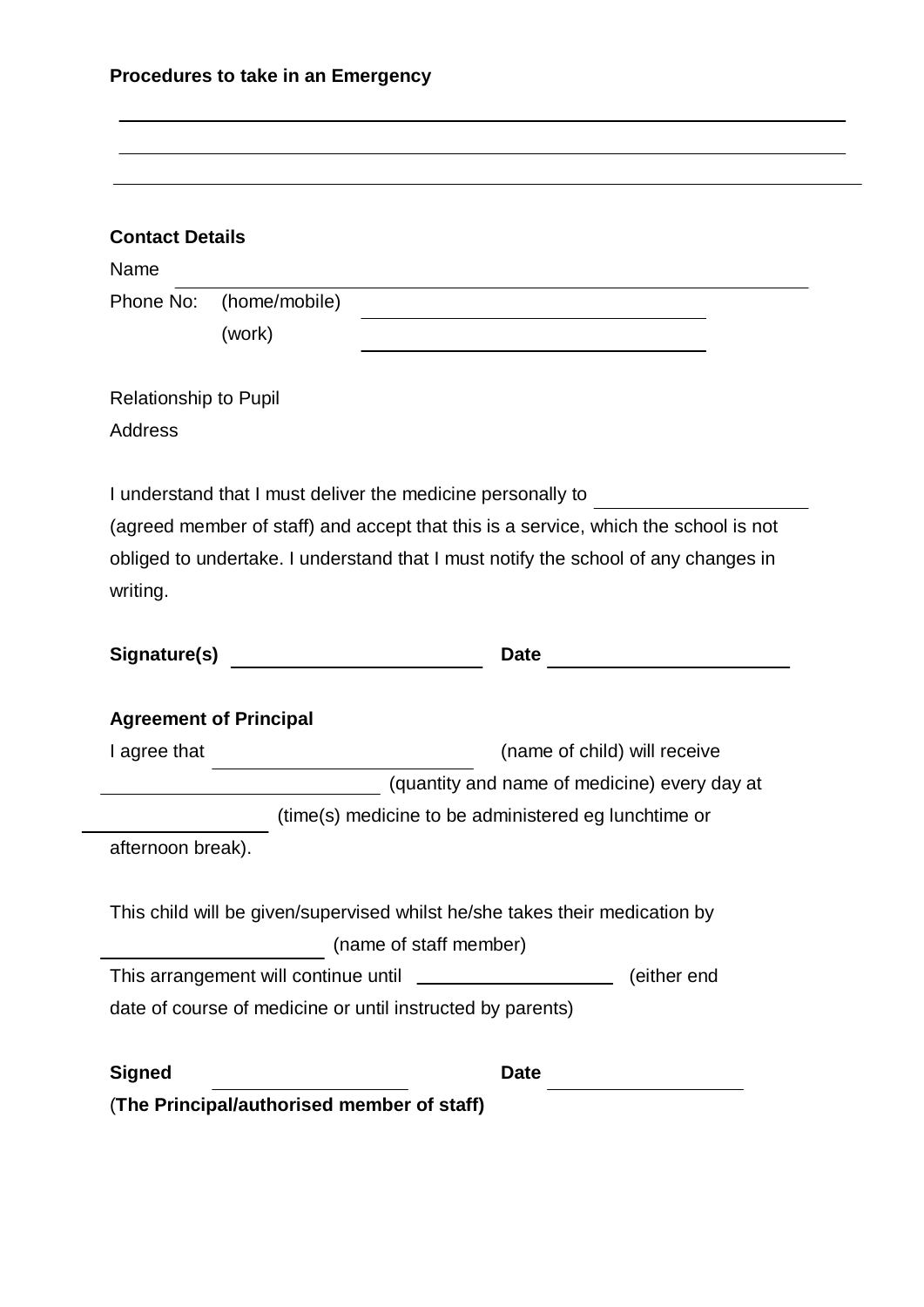| <b>Contact Details</b>       |                                         |                                                                                                                  |  |
|------------------------------|-----------------------------------------|------------------------------------------------------------------------------------------------------------------|--|
| Name                         |                                         | and the control of the control of the control of the control of the control of the control of the control of the |  |
| Phone No:                    | (home/mobile)                           |                                                                                                                  |  |
|                              | (work)                                  | the control of the control of the control of the control of the control of the control of                        |  |
| <b>Relationship to Pupil</b> |                                         |                                                                                                                  |  |
| <b>Address</b>               |                                         |                                                                                                                  |  |
|                              |                                         | I understand that I must deliver the medicine personally to                                                      |  |
|                              |                                         | (agreed member of staff) and accept that this is a service, which the school is not                              |  |
|                              |                                         | obliged to undertake. I understand that I must notify the school of any changes in                               |  |
|                              |                                         |                                                                                                                  |  |
| writing.                     |                                         |                                                                                                                  |  |
|                              |                                         |                                                                                                                  |  |
|                              | Signature(s) __________________________ |                                                                                                                  |  |
|                              |                                         |                                                                                                                  |  |
|                              | <b>Agreement of Principal</b>           |                                                                                                                  |  |
| I agree that                 |                                         | (name of child) will receive                                                                                     |  |
|                              |                                         | (quantity and name of medicine) every day at                                                                     |  |
| afternoon break).            |                                         | (time(s) medicine to be administered eg lunchtime or                                                             |  |
|                              |                                         |                                                                                                                  |  |
|                              |                                         | This child will be given/supervised whilst he/she takes their medication by                                      |  |
|                              |                                         | (name of staff member)                                                                                           |  |
|                              |                                         | (either end                                                                                                      |  |
|                              |                                         | date of course of medicine or until instructed by parents)                                                       |  |
| <b>Signed</b>                |                                         | <b>Date</b>                                                                                                      |  |

(**The Principal/authorised member of staff)**